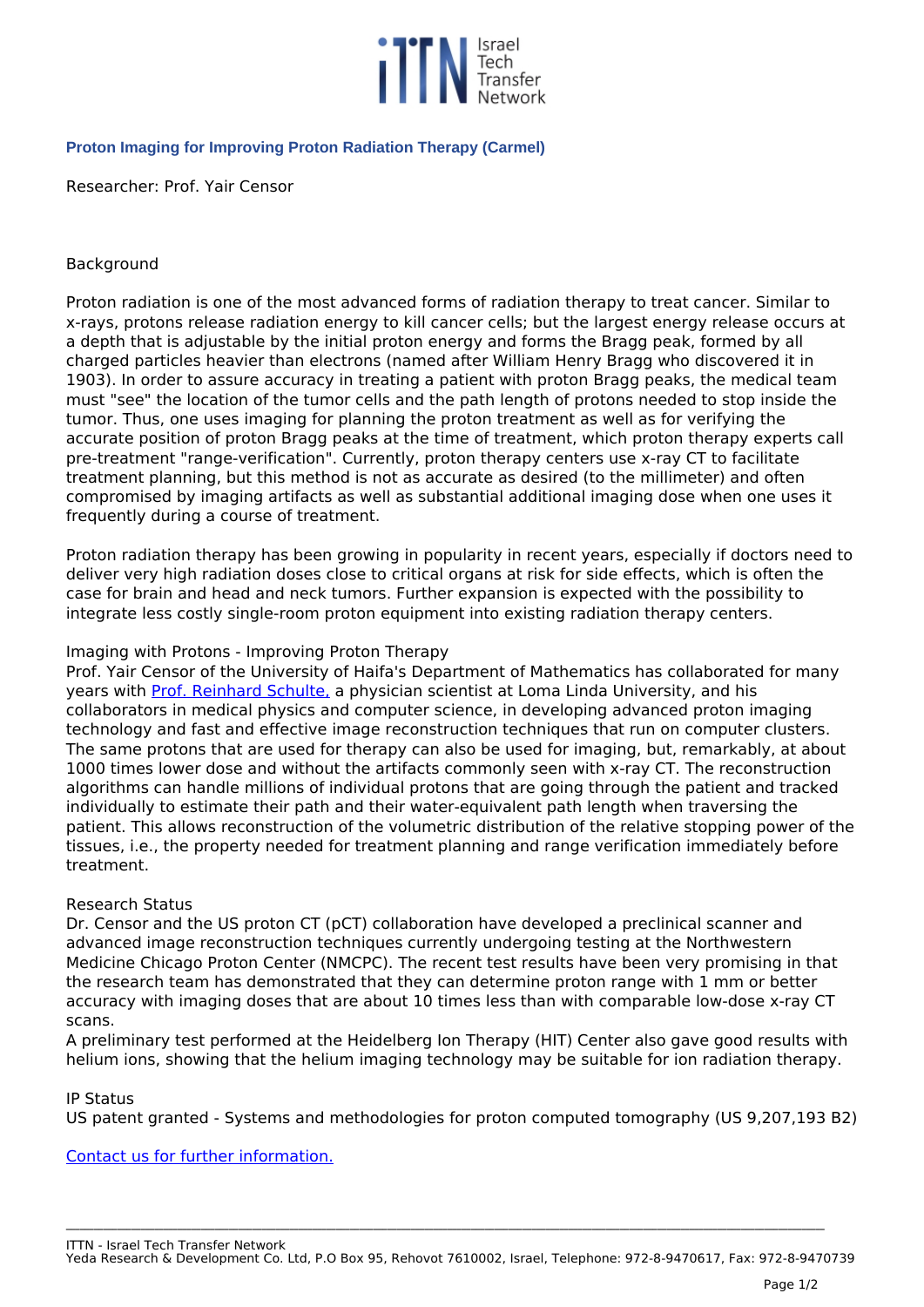

# **Proton Imaging for Improving Proton Radiation Therapy (Carmel)**

*Researcher: Prof. Yair Censor*

## *Background*

*Proton radiation is one of the most advanced forms of radiation therapy to treat cancer. Similar to x-rays, protons release radiation energy to kill cancer cells; but the largest energy release occurs at a depth that is adjustable by the initial proton energy and forms the Bragg peak, formed by all charged particles heavier than electrons (named after William Henry Bragg who discovered it in 1903). In order to assure accuracy in treating a patient with proton Bragg peaks, the medical team must "see" the location of the tumor cells and the path length of protons needed to stop inside the tumor. Thus, one uses imaging for planning the proton treatment as well as for verifying the accurate position of proton Bragg peaks at the time of treatment, which proton therapy experts call pre-treatment "range-verification". Currently, proton therapy centers use x-ray CT to facilitate treatment planning, but this method is not as accurate as desired (to the millimeter) and often compromised by imaging artifacts as well as substantial additional imaging dose when one uses it frequently during a course of treatment.*

*Proton radiation therapy has been growing in popularity in recent years, especially if doctors need to deliver very high radiation doses close to critical organs at risk for side effects, which is often the case for brain and head and neck tumors. Further expansion is expected with the possibility to integrate less costly single-room proton equipment into existing radiation therapy centers.*

### *Imaging with Protons - Improving Proton Therapy*

*Prof. Yair Censor of the University of Haifa's Department of Mathematics has collaborated for many years with [Prof. Reinhard Schulte,](http://www.llu.edu/pages/faculty/directory/faculty.html?uid=rschulte) a physician scientist at Loma Linda University, and his collaborators in medical physics and computer science, in developing advanced proton imaging technology and fast and effective image reconstruction techniques that run on computer clusters. The same protons that are used for therapy can also be used for imaging, but, remarkably, at about 1000 times lower dose and without the artifacts commonly seen with x-ray CT. The reconstruction algorithms can handle millions of individual protons that are going through the patient and tracked individually to estimate their path and their water-equivalent path length when traversing the patient. This allows reconstruction of the volumetric distribution of the relative stopping power of the tissues, i.e., the property needed for treatment planning and range verification immediately before treatment.*

### *Research Status*

*Dr. Censor and the US proton CT (pCT) collaboration have developed a preclinical scanner and advanced image reconstruction techniques currently undergoing testing at the Northwestern Medicine Chicago Proton Center (NMCPC). The recent test results have been very promising in that the research team has demonstrated that they can determine proton range with 1 mm or better accuracy with imaging doses that are about 10 times less than with comparable low-dose x-ray CT scans.*

*A preliminary test performed at the Heidelberg Ion Therapy (HIT) Center also gave good results with helium ions, showing that the helium imaging technology may be suitable for ion radiation therapy.*

### *IP Status*

*US patent granted - Systems and methodologies for proton computed tomography (US 9,207,193 B2)*

*[Contact us for further information.](mailto:Carmel@univ.haifa.ac.il?cc=Rbensh@univ.haifa.ac.il&subject=Yair%20Censor)*

**\_\_\_\_\_\_\_\_\_\_\_\_\_\_\_\_\_\_\_\_\_\_\_\_\_\_\_\_\_\_\_\_\_\_\_\_\_\_\_\_\_\_\_\_\_\_\_\_\_\_\_\_\_\_\_\_\_\_\_\_\_\_\_\_\_\_\_\_\_\_\_\_\_\_\_\_\_\_\_\_\_\_\_\_\_\_\_\_\_\_\_\_\_\_\_\_\_\_\_\_\_\_\_\_\_\_\_\_\_\_\_\_\_\_\_\_\_\_\_\_\_\_\_\_\_\_\_\_\_\_\_\_\_\_\_\_\_\_\_\_\_\_\_\_\_\_\_\_\_\_\_\_\_\_\_\_\_\_\_\_\_\_\_**